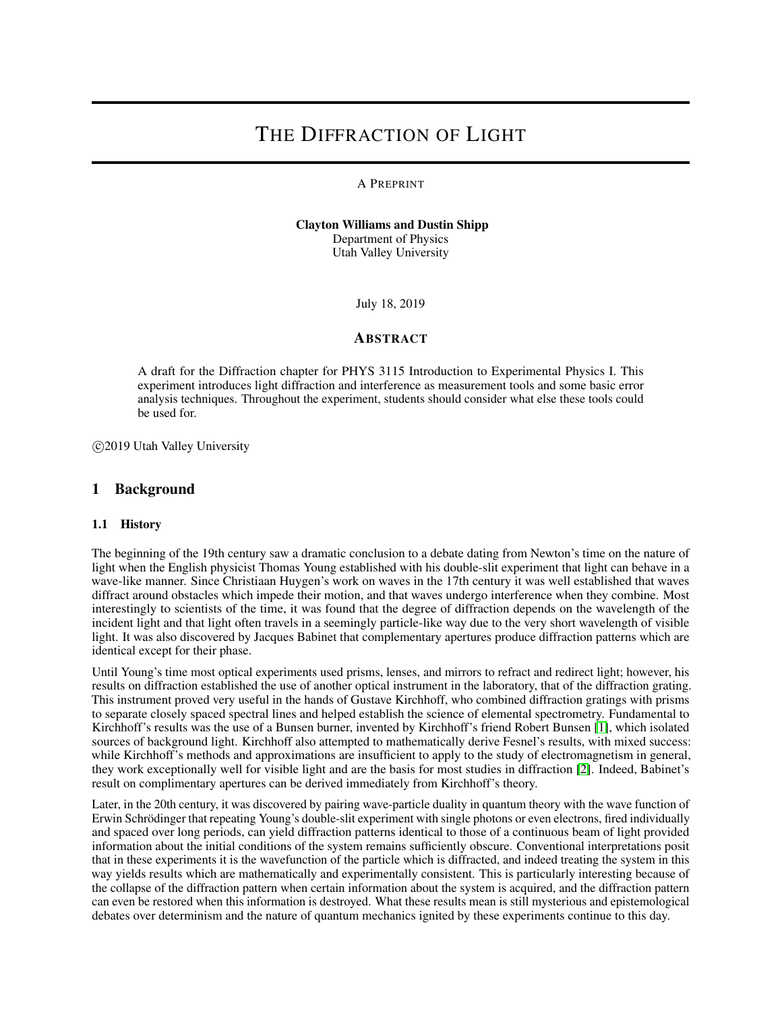# THE DIFFRACTION OF LIGHT

#### A PREPRINT

Clayton Williams and Dustin Shipp Department of Physics Utah Valley University

July 18, 2019

### ABSTRACT

A draft for the Diffraction chapter for PHYS 3115 Introduction to Experimental Physics I. This experiment introduces light diffraction and interference as measurement tools and some basic error analysis techniques. Throughout the experiment, students should consider what else these tools could be used for.

c 2019 Utah Valley University

### 1 Background

#### 1.1 History

The beginning of the 19th century saw a dramatic conclusion to a debate dating from Newton's time on the nature of light when the English physicist Thomas Young established with his double-slit experiment that light can behave in a wave-like manner. Since Christiaan Huygen's work on waves in the 17th century it was well established that waves diffract around obstacles which impede their motion, and that waves undergo interference when they combine. Most interestingly to scientists of the time, it was found that the degree of diffraction depends on the wavelength of the incident light and that light often travels in a seemingly particle-like way due to the very short wavelength of visible light. It was also discovered by Jacques Babinet that complementary apertures produce diffraction patterns which are identical except for their phase.

Until Young's time most optical experiments used prisms, lenses, and mirrors to refract and redirect light; however, his results on diffraction established the use of another optical instrument in the laboratory, that of the diffraction grating. This instrument proved very useful in the hands of Gustave Kirchhoff, who combined diffraction gratings with prisms to separate closely spaced spectral lines and helped establish the science of elemental spectrometry. Fundamental to Kirchhoff's results was the use of a Bunsen burner, invented by Kirchhoff's friend Robert Bunsen [\[1\]](#page-9-0), which isolated sources of background light. Kirchhoff also attempted to mathematically derive Fesnel's results, with mixed success: while Kirchhoff's methods and approximations are insufficient to apply to the study of electromagnetism in general, they work exceptionally well for visible light and are the basis for most studies in diffraction [\[2\]](#page-9-1). Indeed, Babinet's result on complimentary apertures can be derived immediately from Kirchhoff's theory.

Later, in the 20th century, it was discovered by pairing wave-particle duality in quantum theory with the wave function of Erwin Schrödinger that repeating Young's double-slit experiment with single photons or even electrons, fired individually and spaced over long periods, can yield diffraction patterns identical to those of a continuous beam of light provided information about the initial conditions of the system remains sufficiently obscure. Conventional interpretations posit that in these experiments it is the wavefunction of the particle which is diffracted, and indeed treating the system in this way yields results which are mathematically and experimentally consistent. This is particularly interesting because of the collapse of the diffraction pattern when certain information about the system is acquired, and the diffraction pattern can even be restored when this information is destroyed. What these results mean is still mysterious and epistemological debates over determinism and the nature of quantum mechanics ignited by these experiments continue to this day.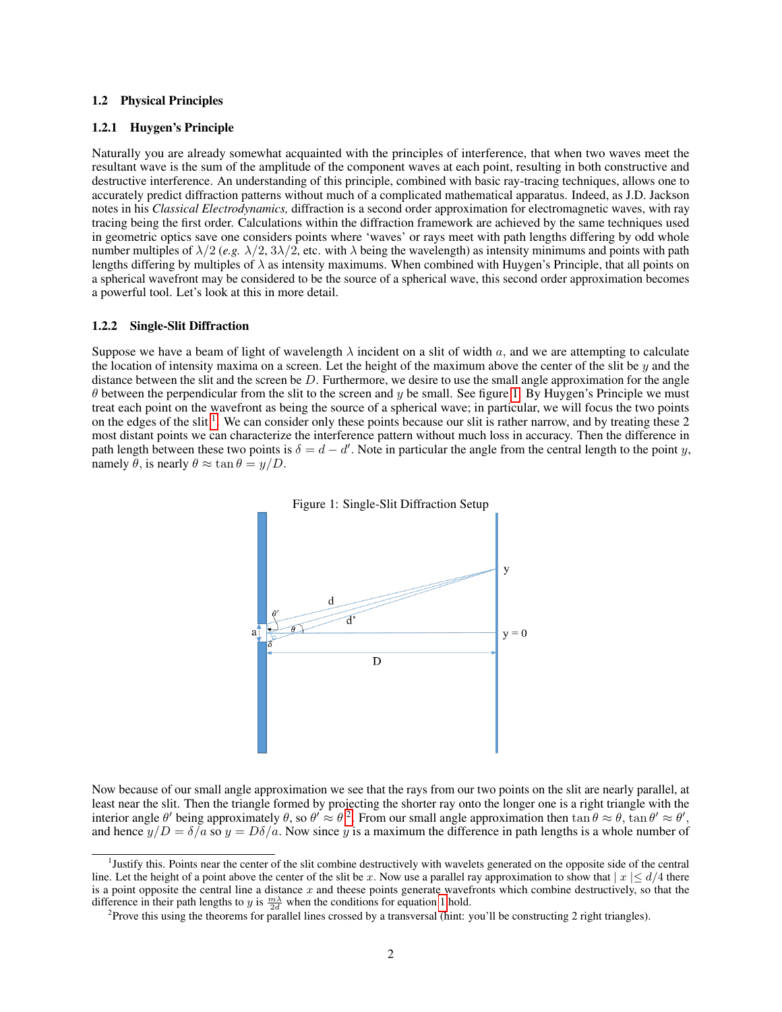#### 1.2 Physical Principles

#### 1.2.1 Huygen's Principle

Naturally you are already somewhat acquainted with the principles of interference, that when two waves meet the resultant wave is the sum of the amplitude of the component waves at each point, resulting in both constructive and destructive interference. An understanding of this principle, combined with basic ray-tracing techniques, allows one to accurately predict diffraction patterns without much of a complicated mathematical apparatus. Indeed, as J.D. Jackson notes in his *Classical Electrodynamics,* diffraction is a second order approximation for electromagnetic waves, with ray tracing being the first order. Calculations within the diffraction framework are achieved by the same techniques used in geometric optics save one considers points where 'waves' or rays meet with path lengths differing by odd whole number multiples of  $\lambda/2$  (*e.g.*  $\lambda/2$ ,  $3\lambda/2$ , etc. with  $\lambda$  being the wavelength) as intensity minimums and points with path lengths differing by multiples of  $\lambda$  as intensity maximums. When combined with Huygen's Principle, that all points on a spherical wavefront may be considered to be the source of a spherical wave, this second order approximation becomes a powerful tool. Let's look at this in more detail.

#### 1.2.2 Single-Slit Diffraction

Suppose we have a beam of light of wavelength  $\lambda$  incident on a slit of width a, and we are attempting to calculate the location of intensity maxima on a screen. Let the height of the maximum above the center of the slit be  $y$  and the distance between the slit and the screen be  $D$ . Furthermore, we desire to use the small angle approximation for the angle  $\theta$  between the perpendicular from the slit to the screen and y be small. See figure [1.](#page-1-0) By Huygen's Principle we must treat each point on the wavefront as being the source of a spherical wave; in particular, we will focus the two points on the edges of the slit<sup>[1](#page-1-1)</sup>. We can consider only these points because our slit is rather narrow, and by treating these 2 most distant points we can characterize the interference pattern without much loss in accuracy. Then the difference in path length between these two points is  $\delta = d - d'$ . Note in particular the angle from the central length to the point y, namely  $\hat{\theta}$ , is nearly  $\theta \approx \tan \theta = y/D$ .



<span id="page-1-0"></span>

Now because of our small angle approximation we see that the rays from our two points on the slit are nearly parallel, at least near the slit. Then the triangle formed by projecting the shorter ray onto the longer one is a right triangle with the interior angle  $\theta'$  being approximately  $\theta$ , so  $\theta' \approx \theta^2$  $\theta' \approx \theta^2$ . From our small angle approximation then  $\tan \theta \approx \theta$ ,  $\tan \theta' \approx \theta'$ , and hence  $y/D = \delta/a$  so  $y = D\delta/a$ . Now since y is a maximum the difference in path lengths is a whole number of

<span id="page-1-1"></span><sup>&</sup>lt;sup>1</sup>Justify this. Points near the center of the slit combine destructively with wavelets generated on the opposite side of the central line. Let the height of a point above the center of the slit be x. Now use a parallel ray approximation to show that  $|x| < d/4$  there is a point opposite the central line a distance x and theese points generate wavefronts which combine destructively, so that the difference in their path lengths to y is  $\frac{m\lambda}{2d}$  when the conditions for equation [1](#page-2-0) hold.

<span id="page-1-2"></span><sup>&</sup>lt;sup>2</sup> Prove this using the theorems for parallel lines crossed by a transversal (hint: you'll be constructing 2 right triangles).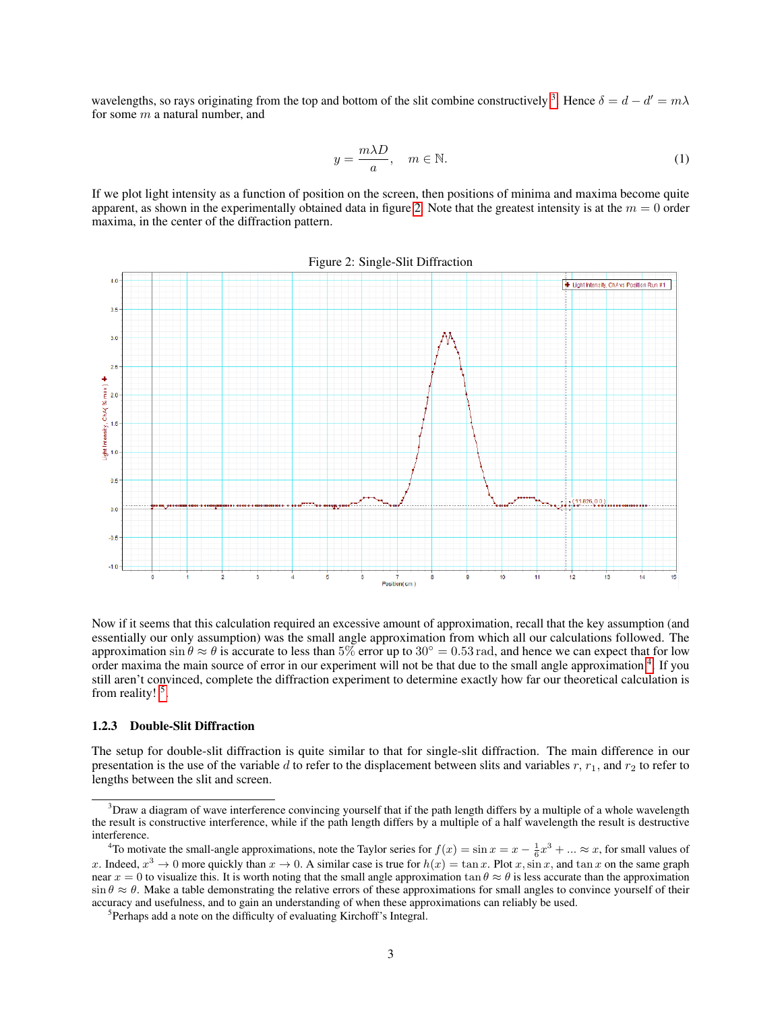<span id="page-2-0"></span>wavelengths, so rays originating from the top and bottom of the slit combine constructively <sup>[3](#page-2-1)</sup>. Hence  $\delta = d - d' = m\lambda$ for some  $m$  a natural number, and

<span id="page-2-2"></span>
$$
y = \frac{m\lambda D}{a}, \quad m \in \mathbb{N}.
$$
 (1)

If we plot light intensity as a function of position on the screen, then positions of minima and maxima become quite apparent, as shown in the experimentally obtained data in figure [2.](#page-2-2) Note that the greatest intensity is at the  $m = 0$  order maxima, in the center of the diffraction pattern.



Now if it seems that this calculation required an excessive amount of approximation, recall that the key assumption (and essentially our only assumption) was the small angle approximation from which all our calculations followed. The approximation sin  $\theta \approx \theta$  is accurate to less than 5% error up to 30° = 0.53 rad, and hence we can expect that for low order maxima the main source of error in our experiment will not be that due to the small angle approximation <sup>[4](#page-2-3)</sup>. If you still aren't convinced, complete the diffraction experiment to determine exactly how far our theoretical calculation is from reality! <sup>[5](#page-2-4)</sup>.

#### 1.2.3 Double-Slit Diffraction

The setup for double-slit diffraction is quite similar to that for single-slit diffraction. The main difference in our presentation is the use of the variable d to refer to the displacement between slits and variables  $r$ ,  $r_1$ , and  $r_2$  to refer to lengths between the slit and screen.

<span id="page-2-1"></span> $3$ Draw a diagram of wave interference convincing yourself that if the path length differs by a multiple of a whole wavelength the result is constructive interference, while if the path length differs by a multiple of a half wavelength the result is destructive interference.

<span id="page-2-3"></span><sup>&</sup>lt;sup>4</sup>To motivate the small-angle approximations, note the Taylor series for  $f(x) = \sin x = x - \frac{1}{6}x^3 + ... \approx x$ , for small values of x. Indeed,  $x^3 \to 0$  more quickly than  $x \to 0$ . A similar case is true for  $h(x) = \tan x$ . Plot x, sin x, and  $\tan x$  on the same graph near  $x = 0$  to visualize this. It is worth noting that the small angle approximation  $\tan \theta \approx \theta$  is less accurate than the approximation  $\sin \theta \approx \theta$ . Make a table demonstrating the relative errors of these approximations for small angles to convince yourself of their accuracy and usefulness, and to gain an understanding of when these approximations can reliably be used.

<span id="page-2-4"></span><sup>&</sup>lt;sup>5</sup>Perhaps add a note on the difficulty of evaluating Kirchoff's Integral.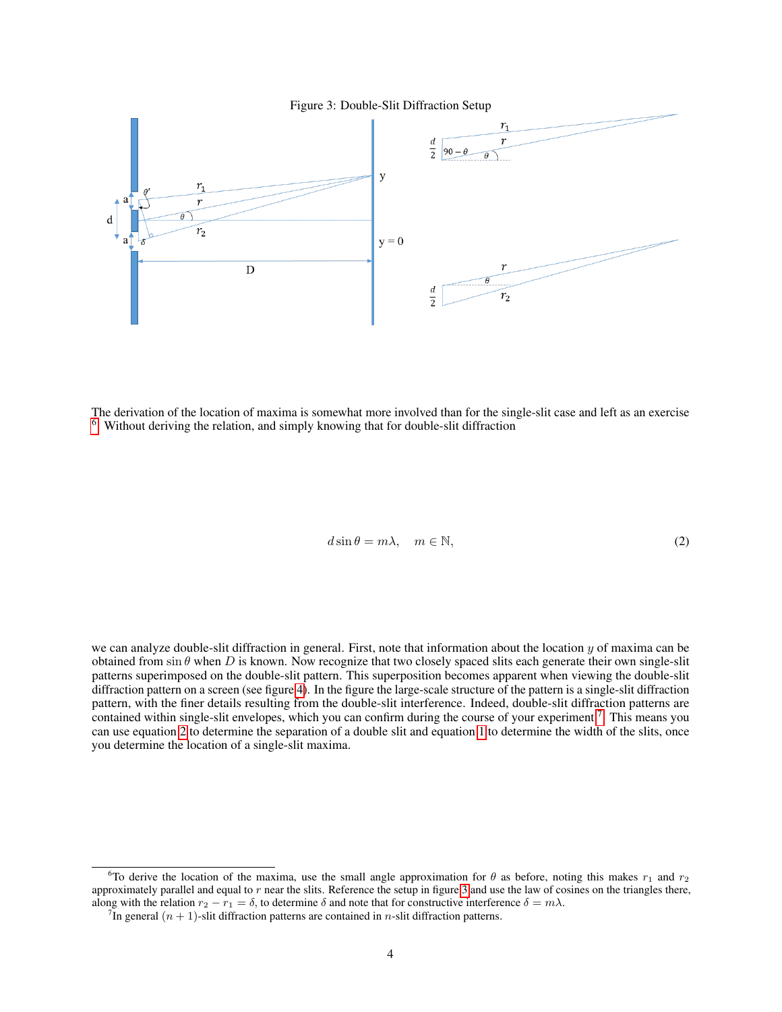<span id="page-3-3"></span>Figure 3: Double-Slit Diffraction Setup



<span id="page-3-2"></span>The derivation of the location of maxima is somewhat more involved than for the single-slit case and left as an exercise <sup>[6](#page-3-0)</sup>. Without deriving the relation, and simply knowing that for double-slit diffraction

$$
d\sin\theta = m\lambda, \quad m \in \mathbb{N},\tag{2}
$$

we can analyze double-slit diffraction in general. First, note that information about the location  $y$  of maxima can be obtained from sin  $\theta$  when D is known. Now recognize that two closely spaced slits each generate their own single-slit patterns superimposed on the double-slit pattern. This superposition becomes apparent when viewing the double-slit diffraction pattern on a screen (see figure [4\)](#page-4-0). In the figure the large-scale structure of the pattern is a single-slit diffraction pattern, with the finer details resulting from the double-slit interference. Indeed, double-slit diffraction patterns are contained within single-slit envelopes, which you can confirm during the course of your experiment  $7$ . This means you can use equation [2](#page-3-2) to determine the separation of a double slit and equation [1](#page-1-0) to determine the width of the slits, once you determine the location of a single-slit maxima.

<span id="page-3-0"></span><sup>&</sup>lt;sup>6</sup>To derive the location of the maxima, use the small angle approximation for  $\theta$  as before, noting this makes  $r_1$  and  $r_2$ approximately parallel and equal to  $r$  near the slits. Reference the setup in figure [3](#page-3-3) and use the law of cosines on the triangles there, along with the relation  $r_2 - r_1 = \delta$ , to determine  $\delta$  and note that for constructive interference  $\delta = m\lambda$ .

<span id="page-3-1"></span><sup>&</sup>lt;sup>7</sup>In general  $(n + 1)$ -slit diffraction patterns are contained in *n*-slit diffraction patterns.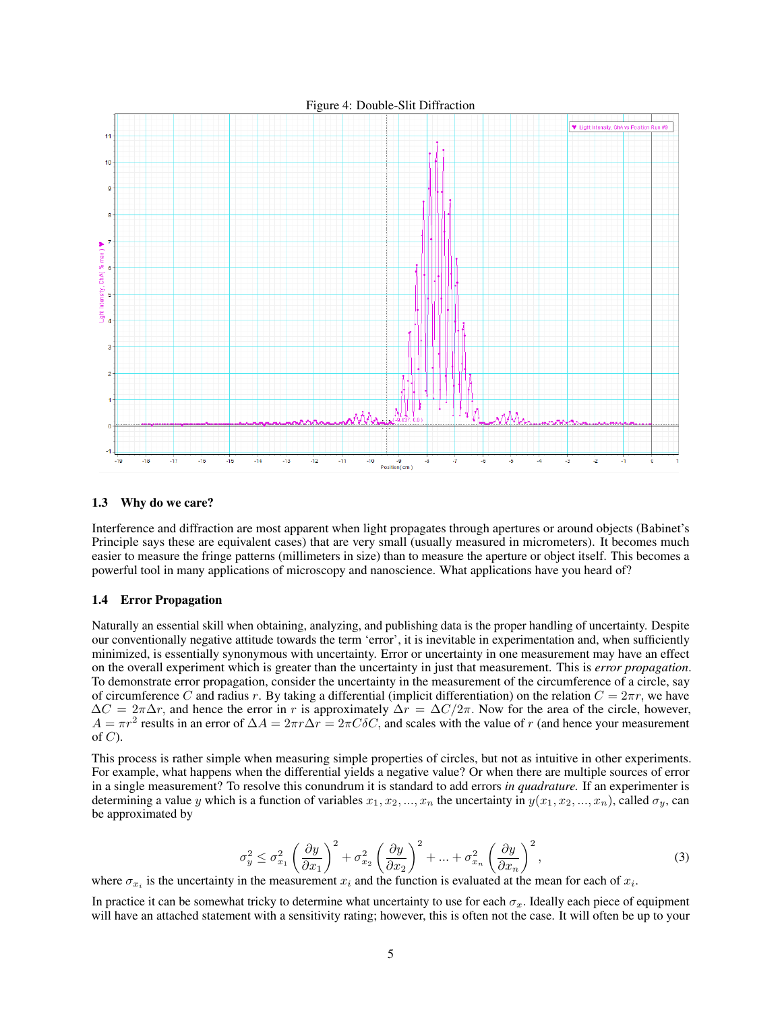<span id="page-4-0"></span>

#### 1.3 Why do we care?

Interference and diffraction are most apparent when light propagates through apertures or around objects (Babinet's Principle says these are equivalent cases) that are very small (usually measured in micrometers). It becomes much easier to measure the fringe patterns (millimeters in size) than to measure the aperture or object itself. This becomes a powerful tool in many applications of microscopy and nanoscience. What applications have you heard of?

#### 1.4 Error Propagation

Naturally an essential skill when obtaining, analyzing, and publishing data is the proper handling of uncertainty. Despite our conventionally negative attitude towards the term 'error', it is inevitable in experimentation and, when sufficiently minimized, is essentially synonymous with uncertainty. Error or uncertainty in one measurement may have an effect on the overall experiment which is greater than the uncertainty in just that measurement. This is *error propagation*. To demonstrate error propagation, consider the uncertainty in the measurement of the circumference of a circle, say of circumference C and radius r. By taking a differential (implicit differentiation) on the relation  $C = 2\pi r$ , we have  $\Delta C = 2\pi \Delta r$ , and hence the error in r is approximately  $\Delta r = \Delta C/2\pi$ . Now for the area of the circle, however,  $A = \pi r^2$  results in an error of  $\Delta A = 2\pi r \Delta r = 2\pi C \delta C$ , and scales with the value of r (and hence your measurement of  $C$ ).

This process is rather simple when measuring simple properties of circles, but not as intuitive in other experiments. For example, what happens when the differential yields a negative value? Or when there are multiple sources of error in a single measurement? To resolve this conundrum it is standard to add errors *in quadrature.* If an experimenter is determining a value y which is a function of variables  $x_1, x_2, ..., x_n$  the uncertainty in  $y(x_1, x_2, ..., x_n)$ , called  $\sigma_y$ , can be approximated by

$$
\sigma_y^2 \le \sigma_{x_1}^2 \left(\frac{\partial y}{\partial x_1}\right)^2 + \sigma_{x_2}^2 \left(\frac{\partial y}{\partial x_2}\right)^2 + \dots + \sigma_{x_n}^2 \left(\frac{\partial y}{\partial x_n}\right)^2,\tag{3}
$$

<span id="page-4-1"></span>where  $\sigma_{x_i}$  is the uncertainty in the measurement  $x_i$  and the function is evaluated at the mean for each of  $x_i$ .

In practice it can be somewhat tricky to determine what uncertainty to use for each  $\sigma_x$ . Ideally each piece of equipment will have an attached statement with a sensitivity rating; however, this is often not the case. It will often be up to your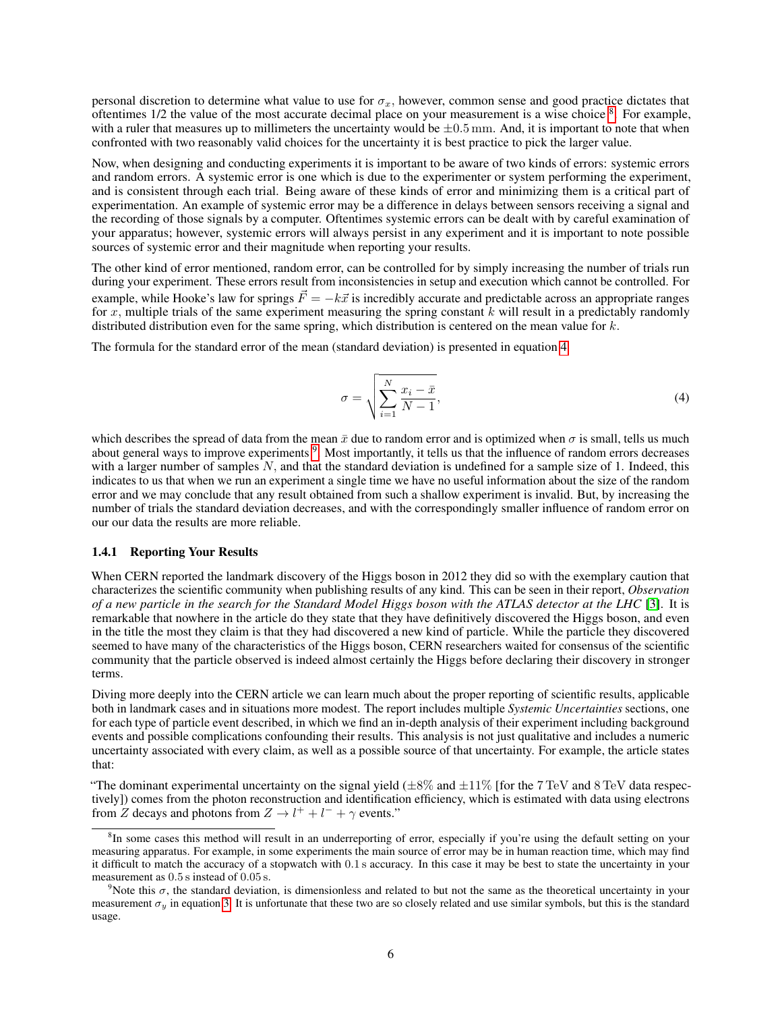personal discretion to determine what value to use for  $\sigma_r$ , however, common sense and good practice dictates that oftentimes  $1/2$  the value of the most accurate decimal place on your measurement is a wise choice  $8$ . For example, with a ruler that measures up to millimeters the uncertainty would be  $\pm 0.5$  mm. And, it is important to note that when confronted with two reasonably valid choices for the uncertainty it is best practice to pick the larger value.

Now, when designing and conducting experiments it is important to be aware of two kinds of errors: systemic errors and random errors. A systemic error is one which is due to the experimenter or system performing the experiment, and is consistent through each trial. Being aware of these kinds of error and minimizing them is a critical part of experimentation. An example of systemic error may be a difference in delays between sensors receiving a signal and the recording of those signals by a computer. Oftentimes systemic errors can be dealt with by careful examination of your apparatus; however, systemic errors will always persist in any experiment and it is important to note possible sources of systemic error and their magnitude when reporting your results.

The other kind of error mentioned, random error, can be controlled for by simply increasing the number of trials run during your experiment. These errors result from inconsistencies in setup and execution which cannot be controlled. For example, while Hooke's law for springs  $\vec{F} = -k\vec{x}$  is incredibly accurate and predictable across an appropriate ranges for x, multiple trials of the same experiment measuring the spring constant  $k$  will result in a predictably randomly distributed distribution even for the same spring, which distribution is centered on the mean value for  $k$ .

<span id="page-5-1"></span>The formula for the standard error of the mean (standard deviation) is presented in equation [4](#page-5-1)

$$
\sigma = \sqrt{\sum_{i=1}^{N} \frac{x_i - \bar{x}}{N - 1}},\tag{4}
$$

which describes the spread of data from the mean  $\bar{x}$  due to random error and is optimized when  $\sigma$  is small, tells us much about general ways to improve experiments <sup>[9](#page-5-2)</sup>. Most importantly, it tells us that the influence of random errors decreases with a larger number of samples  $N$ , and that the standard deviation is undefined for a sample size of 1. Indeed, this indicates to us that when we run an experiment a single time we have no useful information about the size of the random error and we may conclude that any result obtained from such a shallow experiment is invalid. But, by increasing the number of trials the standard deviation decreases, and with the correspondingly smaller influence of random error on our our data the results are more reliable.

#### 1.4.1 Reporting Your Results

When CERN reported the landmark discovery of the Higgs boson in 2012 they did so with the exemplary caution that characterizes the scientific community when publishing results of any kind. This can be seen in their report, *Observation of a new particle in the search for the Standard Model Higgs boson with the ATLAS detector at the LHC* [\[3\]](#page-9-2). It is remarkable that nowhere in the article do they state that they have definitively discovered the Higgs boson, and even in the title the most they claim is that they had discovered a new kind of particle. While the particle they discovered seemed to have many of the characteristics of the Higgs boson, CERN researchers waited for consensus of the scientific community that the particle observed is indeed almost certainly the Higgs before declaring their discovery in stronger terms.

Diving more deeply into the CERN article we can learn much about the proper reporting of scientific results, applicable both in landmark cases and in situations more modest. The report includes multiple *Systemic Uncertainties* sections, one for each type of particle event described, in which we find an in-depth analysis of their experiment including background events and possible complications confounding their results. This analysis is not just qualitative and includes a numeric uncertainty associated with every claim, as well as a possible source of that uncertainty. For example, the article states that:

"The dominant experimental uncertainty on the signal yield  $(\pm 8\%$  and  $\pm 11\%$  [for the 7 TeV and 8 TeV data respectively]) comes from the photon reconstruction and identification efficiency, which is estimated with data using electrons from Z decays and photons from  $Z \to l^+ + l^- + \gamma$  events."

<span id="page-5-0"></span><sup>&</sup>lt;sup>8</sup>In some cases this method will result in an underreporting of error, especially if you're using the default setting on your measuring apparatus. For example, in some experiments the main source of error may be in human reaction time, which may find it difficult to match the accuracy of a stopwatch with 0.1 s accuracy. In this case it may be best to state the uncertainty in your measurement as 0.5 s instead of 0.05 s.

<span id="page-5-2"></span><sup>&</sup>lt;sup>9</sup>Note this  $\sigma$ , the standard deviation, is dimensionless and related to but not the same as the theoretical uncertainty in your measurement  $\sigma_y$  in equation [3.](#page-4-1) It is unfortunate that these two are so closely related and use similar symbols, but this is the standard usage.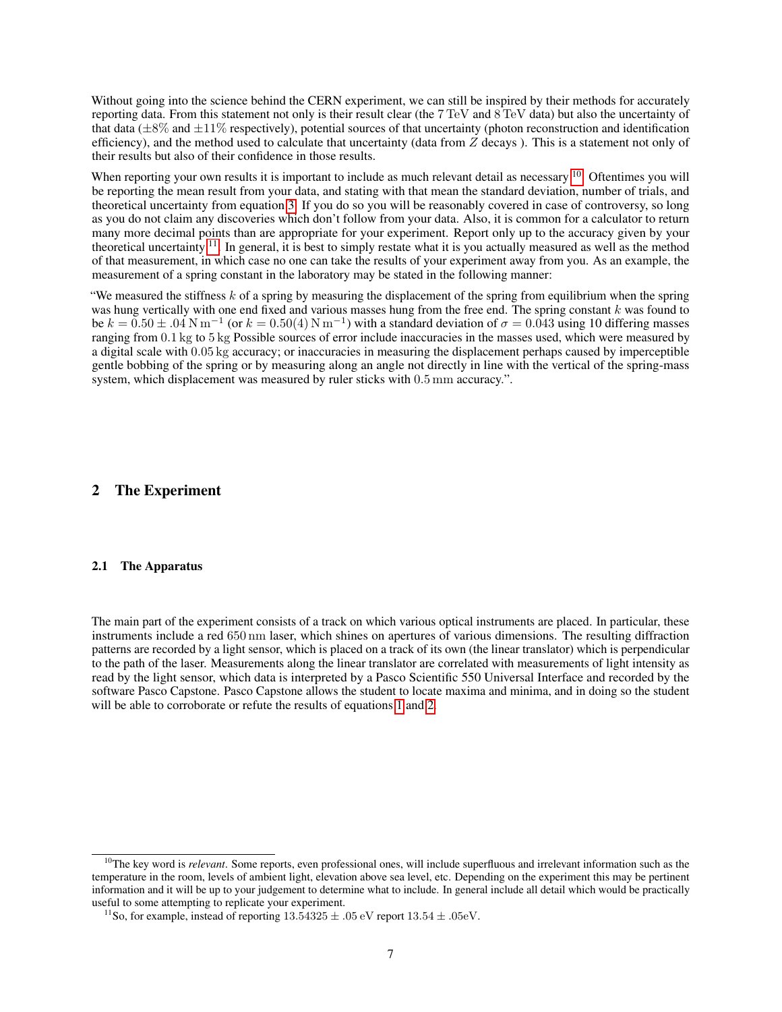Without going into the science behind the CERN experiment, we can still be inspired by their methods for accurately reporting data. From this statement not only is their result clear (the 7 TeV and 8 TeV data) but also the uncertainty of that data ( $\pm 8\%$  and  $\pm 11\%$  respectively), potential sources of that uncertainty (photon reconstruction and identification efficiency), and the method used to calculate that uncertainty (data from  $Z$  decays). This is a statement not only of their results but also of their confidence in those results.

When reporting your own results it is important to include as much relevant detail as necessary  $^{10}$  $^{10}$  $^{10}$ . Oftentimes you will be reporting the mean result from your data, and stating with that mean the standard deviation, number of trials, and theoretical uncertainty from equation [3.](#page-4-1) If you do so you will be reasonably covered in case of controversy, so long as you do not claim any discoveries which don't follow from your data. Also, it is common for a calculator to return many more decimal points than are appropriate for your experiment. Report only up to the accuracy given by your theoretical uncertainty  $11$ . In general, it is best to simply restate what it is you actually measured as well as the method of that measurement, in which case no one can take the results of your experiment away from you. As an example, the measurement of a spring constant in the laboratory may be stated in the following manner:

"We measured the stiffness  $k$  of a spring by measuring the displacement of the spring from equilibrium when the spring was hung vertically with one end fixed and various masses hung from the free end. The spring constant  $k$  was found to be  $k = 0.50 \pm .04$  N m<sup>-1</sup> (or  $k = 0.50(4)$  N m<sup>-1</sup>) with a standard deviation of  $\sigma = 0.043$  using 10 differing masses ranging from 0.1 kg to 5 kg Possible sources of error include inaccuracies in the masses used, which were measured by a digital scale with 0.05 kg accuracy; or inaccuracies in measuring the displacement perhaps caused by imperceptible gentle bobbing of the spring or by measuring along an angle not directly in line with the vertical of the spring-mass system, which displacement was measured by ruler sticks with 0.5 mm accuracy.".

#### 2 The Experiment

#### 2.1 The Apparatus

The main part of the experiment consists of a track on which various optical instruments are placed. In particular, these instruments include a red 650 nm laser, which shines on apertures of various dimensions. The resulting diffraction patterns are recorded by a light sensor, which is placed on a track of its own (the linear translator) which is perpendicular to the path of the laser. Measurements along the linear translator are correlated with measurements of light intensity as read by the light sensor, which data is interpreted by a Pasco Scientific 550 Universal Interface and recorded by the software Pasco Capstone. Pasco Capstone allows the student to locate maxima and minima, and in doing so the student will be able to corroborate or refute the results of equations [1](#page-2-0) and [2.](#page-3-2)

<span id="page-6-0"></span><sup>&</sup>lt;sup>10</sup>The key word is *relevant*. Some reports, even professional ones, will include superfluous and irrelevant information such as the temperature in the room, levels of ambient light, elevation above sea level, etc. Depending on the experiment this may be pertinent information and it will be up to your judgement to determine what to include. In general include all detail which would be practically useful to some attempting to replicate your experiment.

<span id="page-6-1"></span><sup>&</sup>lt;sup>11</sup>So, for example, instead of reporting  $13.54325 \pm .05$  eV report  $13.54 \pm .05$  eV.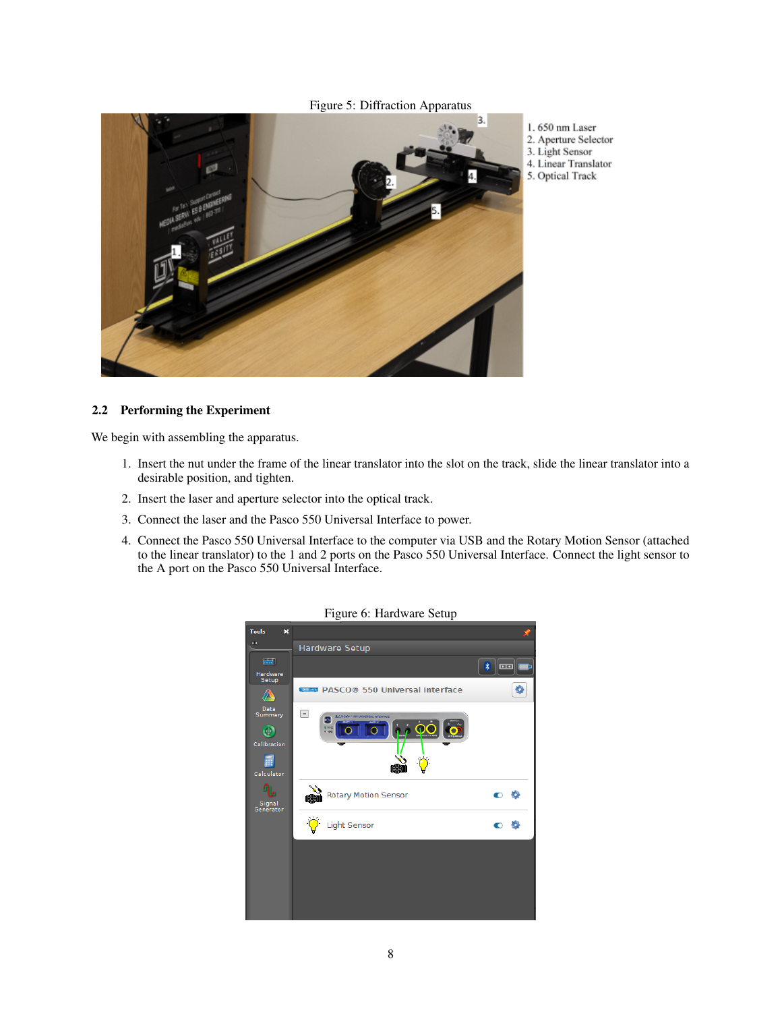

# 1.650 nm Laser

- 
- 4. Linear Translator
- 5. Optical Track

## 2.2 Performing the Experiment

We begin with assembling the apparatus.

- 1. Insert the nut under the frame of the linear translator into the slot on the track, slide the linear translator into a desirable position, and tighten.
- 2. Insert the laser and aperture selector into the optical track.
- 3. Connect the laser and the Pasco 550 Universal Interface to power.
- 4. Connect the Pasco 550 Universal Interface to the computer via USB and the Rotary Motion Sensor (attached to the linear translator) to the 1 and 2 ports on the Pasco 550 Universal Interface. Connect the light sensor to the A port on the Pasco 550 Universal Interface.

| 1 require of the requirement of the       |                                                  |                     |
|-------------------------------------------|--------------------------------------------------|---------------------|
| <b>Tools</b><br>$\boldsymbol{\mathsf{x}}$ |                                                  |                     |
| œ                                         | Hardware Setup                                   |                     |
| $\blacksquare$                            |                                                  | $\ast$<br><b>DD</b> |
| Hardware<br>Setup                         |                                                  |                     |
| 公                                         | <b>Comp PASCO® 550 Universal Interface</b>       | ö                   |
| Data<br>Summary                           | E<br><b>ELMING * STOUNDERSAL INTERFACE</b><br>ò, |                     |
| ⊕                                         | $9 - 12$                                         |                     |
| Calibration                               |                                                  |                     |
| ä.                                        |                                                  |                     |
| Calculator                                |                                                  |                     |
| Signal<br>Generator                       | <b>Rotary Motion Sensor</b>                      | €                   |
|                                           | Light Sensor                                     | $\bullet$           |
|                                           |                                                  |                     |
|                                           |                                                  |                     |
|                                           |                                                  |                     |
|                                           |                                                  |                     |
|                                           |                                                  |                     |

# Figure 6: Hardware Setup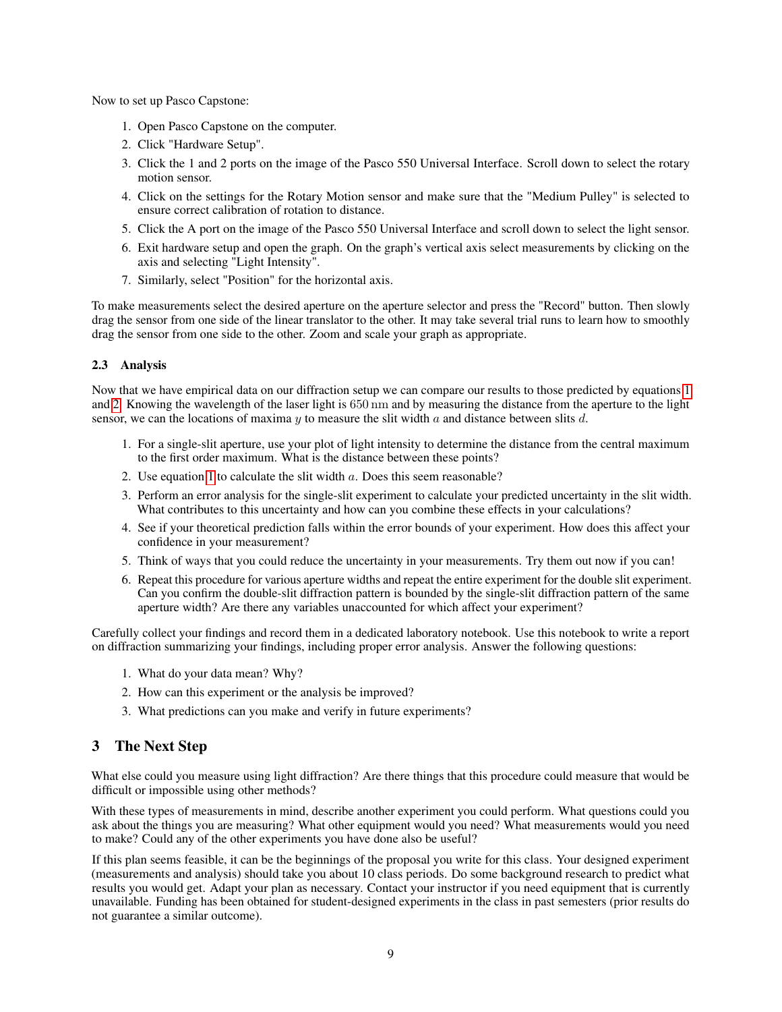Now to set up Pasco Capstone:

- 1. Open Pasco Capstone on the computer.
- 2. Click "Hardware Setup".
- 3. Click the 1 and 2 ports on the image of the Pasco 550 Universal Interface. Scroll down to select the rotary motion sensor.
- 4. Click on the settings for the Rotary Motion sensor and make sure that the "Medium Pulley" is selected to ensure correct calibration of rotation to distance.
- 5. Click the A port on the image of the Pasco 550 Universal Interface and scroll down to select the light sensor.
- 6. Exit hardware setup and open the graph. On the graph's vertical axis select measurements by clicking on the axis and selecting "Light Intensity".
- 7. Similarly, select "Position" for the horizontal axis.

To make measurements select the desired aperture on the aperture selector and press the "Record" button. Then slowly drag the sensor from one side of the linear translator to the other. It may take several trial runs to learn how to smoothly drag the sensor from one side to the other. Zoom and scale your graph as appropriate.

## 2.3 Analysis

Now that we have empirical data on our diffraction setup we can compare our results to those predicted by equations [1](#page-2-0) and [2.](#page-3-2) Knowing the wavelength of the laser light is 650 nm and by measuring the distance from the aperture to the light sensor, we can the locations of maxima  $y$  to measure the slit width  $a$  and distance between slits  $d$ .

- 1. For a single-slit aperture, use your plot of light intensity to determine the distance from the central maximum to the first order maximum. What is the distance between these points?
- 2. Use equation [1](#page-2-0) to calculate the slit width a. Does this seem reasonable?
- 3. Perform an error analysis for the single-slit experiment to calculate your predicted uncertainty in the slit width. What contributes to this uncertainty and how can you combine these effects in your calculations?
- 4. See if your theoretical prediction falls within the error bounds of your experiment. How does this affect your confidence in your measurement?
- 5. Think of ways that you could reduce the uncertainty in your measurements. Try them out now if you can!
- 6. Repeat this procedure for various aperture widths and repeat the entire experiment for the double slit experiment. Can you confirm the double-slit diffraction pattern is bounded by the single-slit diffraction pattern of the same aperture width? Are there any variables unaccounted for which affect your experiment?

Carefully collect your findings and record them in a dedicated laboratory notebook. Use this notebook to write a report on diffraction summarizing your findings, including proper error analysis. Answer the following questions:

- 1. What do your data mean? Why?
- 2. How can this experiment or the analysis be improved?
- 3. What predictions can you make and verify in future experiments?

# 3 The Next Step

What else could you measure using light diffraction? Are there things that this procedure could measure that would be difficult or impossible using other methods?

With these types of measurements in mind, describe another experiment you could perform. What questions could you ask about the things you are measuring? What other equipment would you need? What measurements would you need to make? Could any of the other experiments you have done also be useful?

If this plan seems feasible, it can be the beginnings of the proposal you write for this class. Your designed experiment (measurements and analysis) should take you about 10 class periods. Do some background research to predict what results you would get. Adapt your plan as necessary. Contact your instructor if you need equipment that is currently unavailable. Funding has been obtained for student-designed experiments in the class in past semesters (prior results do not guarantee a similar outcome).